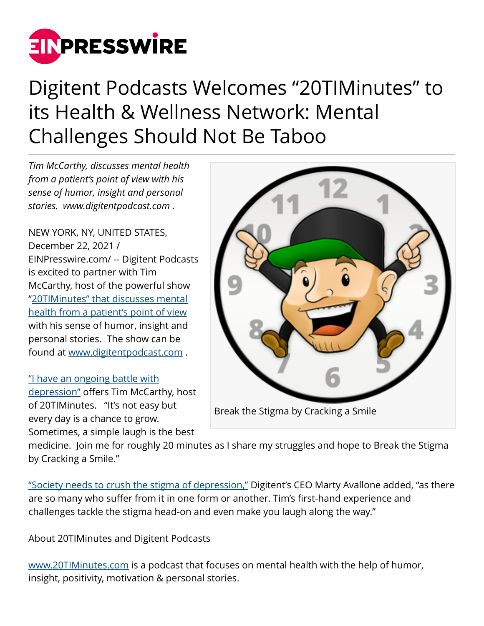

## Digitent Podcasts Welcomes "20TIMinutes" to its Health & Wellness Network: Mental Challenges Should Not Be Taboo

*Tim McCarthy, discusses mental health from a patient's point of view with his sense of humor, insight and personal stories. www.digitentpodcast.com .*

NEW YORK, NY, UNITED STATES, December 22, 2021 / [EINPresswire.com](http://www.einpresswire.com)/ -- Digitent Podcasts is excited to partner with Tim McCarthy, host of the powerful show ["20TIMinutes" that discusses mental](http://www.digitentpodcasts.com/network-home/20timinutes) [health from a patient's point of view](http://www.digitentpodcasts.com/network-home/20timinutes) with his sense of humor, insight and personal stories. The show can be found at [www.digitentpodcast.com](http://www.digitentpodcast.com) .

["I have an ongoing battle with](http://www.digitentpodcasts.com/network-home/20timinutes) [depression"](http://www.digitentpodcasts.com/network-home/20timinutes) offers Tim McCarthy, host of 20TIMinutes. "It's not easy but every day is a chance to grow. Sometimes, a simple laugh is the best



medicine. Join me for roughly 20 minutes as I share my struggles and hope to Break the Stigma by Cracking a Smile."

["Society needs to crush the stigma of depression,"](http://www.digitentpodcasts.com/network-home/20timinutes) Digitent's CEO Marty Avallone added, "as there are so many who suffer from it in one form or another. Tim's first-hand experience and challenges tackle the stigma head-on and even make you laugh along the way."

About 20TIMinutes and Digitent Podcasts

[www.20TIMinutes.com](http://www.20TIMinutes.com) is a podcast that focuses on mental health with the help of humor, insight, positivity, motivation & personal stories.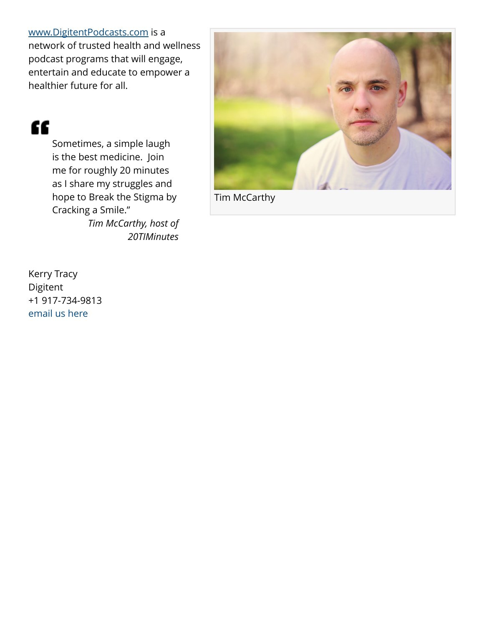## [www.DigitentPodcasts.com](http://www.DigitentPodcasts.com) is a

network of trusted health and wellness podcast programs that will engage, entertain and educate to empower a healthier future for all.

## "

Sometimes, a simple laugh is the best medicine. Join me for roughly 20 minutes as I share my struggles and hope to Break the Stigma by Cracking a Smile."

*Tim McCarthy, host of 20TIMinutes*



Tim McCarthy

Kerry Tracy Digitent +1 917-734-9813 [email us here](http://www.einpresswire.com/contact_author/3223927)